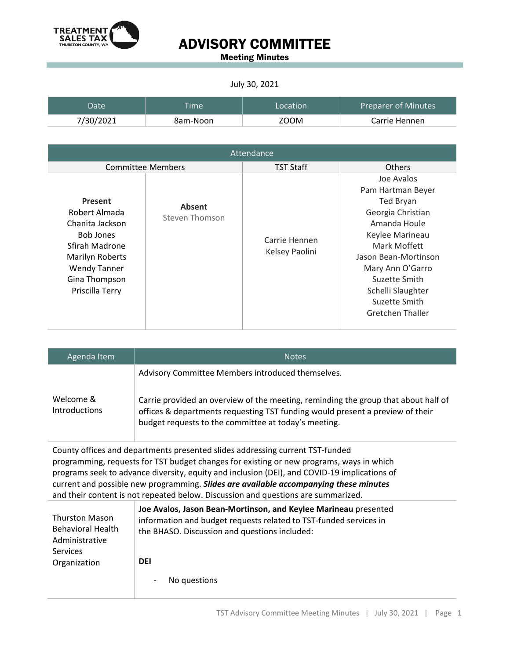

Meeting Minutes

#### July 30, 2021

| Datel     | <b>Time</b> | Location | <b>Preparer of Minutes</b> |
|-----------|-------------|----------|----------------------------|
| 7/30/2021 | 8am-Noon    | ZOOM     | Carrie Hennen              |

| Attendance                                                                                                                                                             |                                 |                                 |                                                                                                                                                                                                                                                    |
|------------------------------------------------------------------------------------------------------------------------------------------------------------------------|---------------------------------|---------------------------------|----------------------------------------------------------------------------------------------------------------------------------------------------------------------------------------------------------------------------------------------------|
|                                                                                                                                                                        | <b>Committee Members</b>        | <b>TST Staff</b>                | <b>Others</b>                                                                                                                                                                                                                                      |
| Present<br>Robert Almada<br>Chanita Jackson<br><b>Bob Jones</b><br>Sfirah Madrone<br><b>Marilyn Roberts</b><br><b>Wendy Tanner</b><br>Gina Thompson<br>Priscilla Terry | <b>Absent</b><br>Steven Thomson | Carrie Hennen<br>Kelsey Paolini | Joe Avalos<br>Pam Hartman Beyer<br><b>Ted Bryan</b><br>Georgia Christian<br>Amanda Houle<br>Keylee Marineau<br>Mark Moffett<br>Jason Bean-Mortinson<br>Mary Ann O'Garro<br>Suzette Smith<br>Schelli Slaughter<br>Suzette Smith<br>Gretchen Thaller |

| Agenda Item                       | <b>Notes</b>                                                                                                                                                                                                                |
|-----------------------------------|-----------------------------------------------------------------------------------------------------------------------------------------------------------------------------------------------------------------------------|
|                                   | Advisory Committee Members introduced themselves.                                                                                                                                                                           |
| Welcome &<br><b>Introductions</b> | Carrie provided an overview of the meeting, reminding the group that about half of<br>offices & departments requesting TST funding would present a preview of their<br>budget requests to the committee at today's meeting. |

County offices and departments presented slides addressing current TST-funded programming, requests for TST budget changes for existing or new programs, ways in which programs seek to advance diversity, equity and inclusion (DEI), and COVID-19 implications of current and possible new programming. *Slides are available accompanying these minutes* and their content is not repeated below. Discussion and questions are summarized.

|                          | Joe Avalos, Jason Bean-Mortinson, and Keylee Marineau presented   |
|--------------------------|-------------------------------------------------------------------|
| <b>Thurston Mason</b>    | information and budget requests related to TST-funded services in |
| <b>Behavioral Health</b> | the BHASO. Discussion and questions included:                     |
| Administrative           |                                                                   |
| Services                 |                                                                   |
|                          |                                                                   |
| Organization             | <b>DEI</b>                                                        |
|                          | No questions<br>-                                                 |
|                          |                                                                   |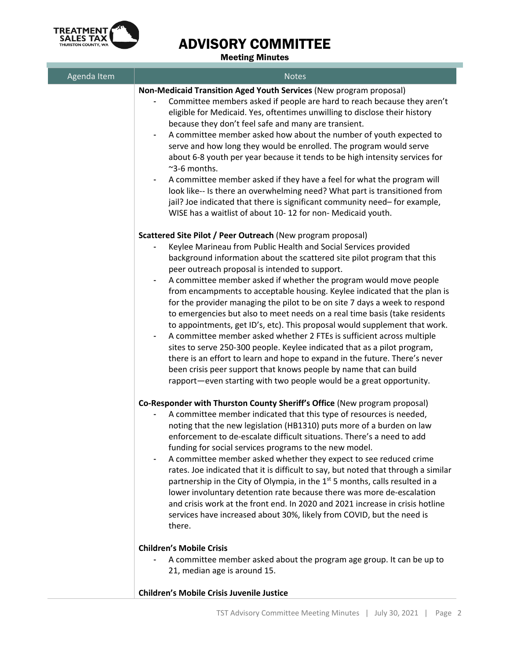

| Agenda Item | <b>Notes</b>                                                                                                                                                                                                                                                                                                                                                                                                                                                                                                                                                                                                                                                                                                                                                                                                                                                                                                                                                                                                                            |
|-------------|-----------------------------------------------------------------------------------------------------------------------------------------------------------------------------------------------------------------------------------------------------------------------------------------------------------------------------------------------------------------------------------------------------------------------------------------------------------------------------------------------------------------------------------------------------------------------------------------------------------------------------------------------------------------------------------------------------------------------------------------------------------------------------------------------------------------------------------------------------------------------------------------------------------------------------------------------------------------------------------------------------------------------------------------|
|             | Non-Medicaid Transition Aged Youth Services (New program proposal)<br>Committee members asked if people are hard to reach because they aren't<br>eligible for Medicaid. Yes, oftentimes unwilling to disclose their history<br>because they don't feel safe and many are transient.<br>A committee member asked how about the number of youth expected to<br>$\overline{\phantom{a}}$<br>serve and how long they would be enrolled. The program would serve<br>about 6-8 youth per year because it tends to be high intensity services for<br>$~\sim$ 3-6 months.<br>A committee member asked if they have a feel for what the program will<br>۰<br>look like-- Is there an overwhelming need? What part is transitioned from<br>jail? Joe indicated that there is significant community need-for example,<br>WISE has a waitlist of about 10-12 for non- Medicaid youth.                                                                                                                                                               |
|             | Scattered Site Pilot / Peer Outreach (New program proposal)<br>Keylee Marineau from Public Health and Social Services provided<br>background information about the scattered site pilot program that this<br>peer outreach proposal is intended to support.<br>A committee member asked if whether the program would move people<br>from encampments to acceptable housing. Keylee indicated that the plan is<br>for the provider managing the pilot to be on site 7 days a week to respond<br>to emergencies but also to meet needs on a real time basis (take residents<br>to appointments, get ID's, etc). This proposal would supplement that work.<br>A committee member asked whether 2 FTEs is sufficient across multiple<br>sites to serve 250-300 people. Keylee indicated that as a pilot program,<br>there is an effort to learn and hope to expand in the future. There's never<br>been crisis peer support that knows people by name that can build<br>rapport-even starting with two people would be a great opportunity. |
|             | Co-Responder with Thurston County Sheriff's Office (New program proposal)<br>A committee member indicated that this type of resources is needed,<br>noting that the new legislation (HB1310) puts more of a burden on law<br>enforcement to de-escalate difficult situations. There's a need to add<br>funding for social services programs to the new model.<br>A committee member asked whether they expect to see reduced crime<br>rates. Joe indicated that it is difficult to say, but noted that through a similar<br>partnership in the City of Olympia, in the $1st$ 5 months, calls resulted in a<br>lower involuntary detention rate because there was more de-escalation<br>and crisis work at the front end. In 2020 and 2021 increase in crisis hotline<br>services have increased about 30%, likely from COVID, but the need is<br>there.                                                                                                                                                                                 |
|             | <b>Children's Mobile Crisis</b><br>A committee member asked about the program age group. It can be up to<br>21, median age is around 15.                                                                                                                                                                                                                                                                                                                                                                                                                                                                                                                                                                                                                                                                                                                                                                                                                                                                                                |
|             | <b>Children's Mobile Crisis Juvenile Justice</b>                                                                                                                                                                                                                                                                                                                                                                                                                                                                                                                                                                                                                                                                                                                                                                                                                                                                                                                                                                                        |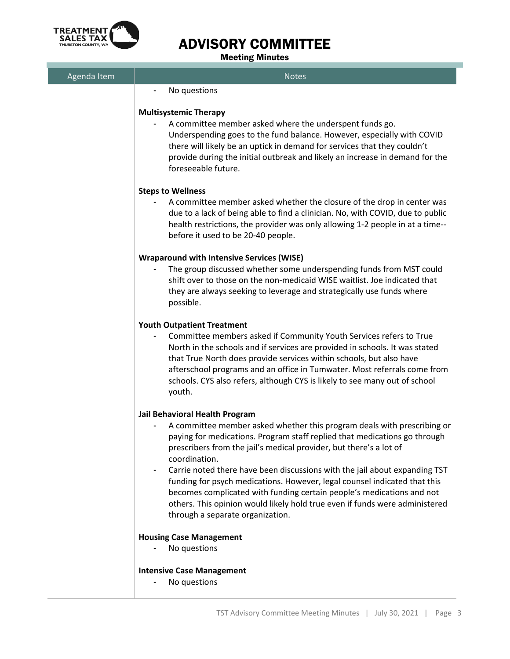

| Agenda Item | <b>Notes</b>                                                                                                                                                                                                                                                                                                                                                                                                                      |
|-------------|-----------------------------------------------------------------------------------------------------------------------------------------------------------------------------------------------------------------------------------------------------------------------------------------------------------------------------------------------------------------------------------------------------------------------------------|
|             | No questions<br>ä,                                                                                                                                                                                                                                                                                                                                                                                                                |
|             | <b>Multisystemic Therapy</b><br>A committee member asked where the underspent funds go.<br>Underspending goes to the fund balance. However, especially with COVID<br>there will likely be an uptick in demand for services that they couldn't<br>provide during the initial outbreak and likely an increase in demand for the<br>foreseeable future.                                                                              |
|             | <b>Steps to Wellness</b><br>A committee member asked whether the closure of the drop in center was<br>due to a lack of being able to find a clinician. No, with COVID, due to public                                                                                                                                                                                                                                              |
|             | health restrictions, the provider was only allowing 1-2 people in at a time--<br>before it used to be 20-40 people.                                                                                                                                                                                                                                                                                                               |
|             | <b>Wraparound with Intensive Services (WISE)</b>                                                                                                                                                                                                                                                                                                                                                                                  |
|             | The group discussed whether some underspending funds from MST could<br>shift over to those on the non-medicaid WISE waitlist. Joe indicated that<br>they are always seeking to leverage and strategically use funds where<br>possible.                                                                                                                                                                                            |
|             | <b>Youth Outpatient Treatment</b><br>Committee members asked if Community Youth Services refers to True<br>North in the schools and if services are provided in schools. It was stated<br>that True North does provide services within schools, but also have<br>afterschool programs and an office in Tumwater. Most referrals come from<br>schools. CYS also refers, although CYS is likely to see many out of school<br>youth. |
|             | Jail Behavioral Health Program<br>A committee member asked whether this program deals with prescribing or<br>paying for medications. Program staff replied that medications go through<br>prescribers from the jail's medical provider, but there's a lot of<br>coordination.                                                                                                                                                     |
|             | Carrie noted there have been discussions with the jail about expanding TST<br>funding for psych medications. However, legal counsel indicated that this<br>becomes complicated with funding certain people's medications and not<br>others. This opinion would likely hold true even if funds were administered<br>through a separate organization.                                                                               |
|             | <b>Housing Case Management</b><br>No questions                                                                                                                                                                                                                                                                                                                                                                                    |
|             | <b>Intensive Case Management</b><br>No questions                                                                                                                                                                                                                                                                                                                                                                                  |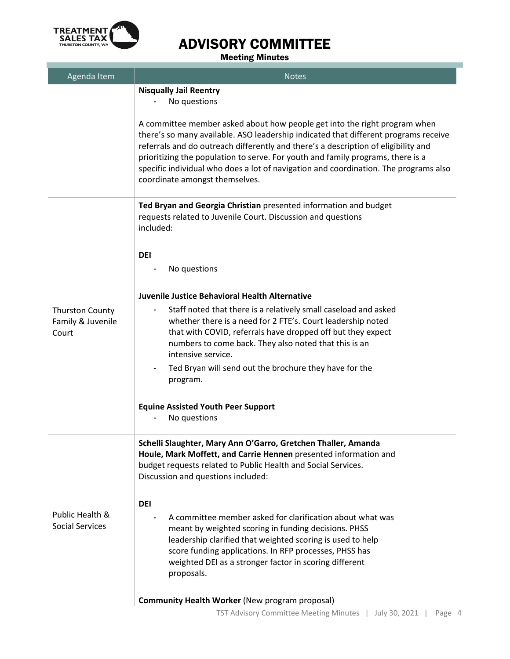

| Agenda Item                                          | <b>Notes</b>                                                                                                                                                                                                                                                                                                                                                                                                                                                        |
|------------------------------------------------------|---------------------------------------------------------------------------------------------------------------------------------------------------------------------------------------------------------------------------------------------------------------------------------------------------------------------------------------------------------------------------------------------------------------------------------------------------------------------|
|                                                      | <b>Nisqually Jail Reentry</b><br>No questions                                                                                                                                                                                                                                                                                                                                                                                                                       |
|                                                      | A committee member asked about how people get into the right program when<br>there's so many available. ASO leadership indicated that different programs receive<br>referrals and do outreach differently and there's a description of eligibility and<br>prioritizing the population to serve. For youth and family programs, there is a<br>specific individual who does a lot of navigation and coordination. The programs also<br>coordinate amongst themselves. |
|                                                      | Ted Bryan and Georgia Christian presented information and budget<br>requests related to Juvenile Court. Discussion and questions<br>included:                                                                                                                                                                                                                                                                                                                       |
|                                                      | <b>DEI</b><br>No questions                                                                                                                                                                                                                                                                                                                                                                                                                                          |
|                                                      | Juvenile Justice Behavioral Health Alternative                                                                                                                                                                                                                                                                                                                                                                                                                      |
| <b>Thurston County</b><br>Family & Juvenile<br>Court | Staff noted that there is a relatively small caseload and asked<br>whether there is a need for 2 FTE's. Court leadership noted<br>that with COVID, referrals have dropped off but they expect<br>numbers to come back. They also noted that this is an<br>intensive service.                                                                                                                                                                                        |
|                                                      | Ted Bryan will send out the brochure they have for the<br>program.                                                                                                                                                                                                                                                                                                                                                                                                  |
|                                                      | <b>Equine Assisted Youth Peer Support</b><br>No questions                                                                                                                                                                                                                                                                                                                                                                                                           |
|                                                      | Schelli Slaughter, Mary Ann O'Garro, Gretchen Thaller, Amanda<br>Houle, Mark Moffett, and Carrie Hennen presented information and<br>budget requests related to Public Health and Social Services.<br>Discussion and questions included:                                                                                                                                                                                                                            |
|                                                      |                                                                                                                                                                                                                                                                                                                                                                                                                                                                     |
| Public Health &<br><b>Social Services</b>            | <b>DEI</b><br>A committee member asked for clarification about what was<br>meant by weighted scoring in funding decisions. PHSS<br>leadership clarified that weighted scoring is used to help<br>score funding applications. In RFP processes, PHSS has<br>weighted DEI as a stronger factor in scoring different<br>proposals.                                                                                                                                     |
|                                                      | <b>Community Health Worker (New program proposal)</b>                                                                                                                                                                                                                                                                                                                                                                                                               |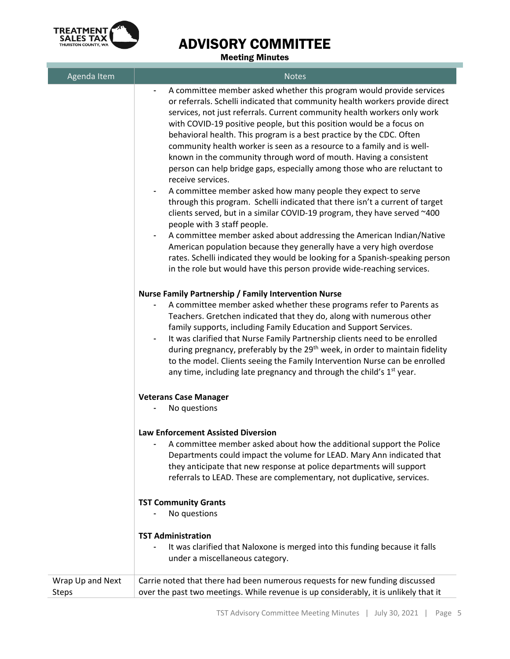

| Agenda Item                      | <b>Notes</b>                                                                                                                                                                                                                                                                                                                                                                                                                                                                                                                                                                                                                                                                                                                                                                                                                                                                                                                                                                                                                                                                                                                                                                                           |
|----------------------------------|--------------------------------------------------------------------------------------------------------------------------------------------------------------------------------------------------------------------------------------------------------------------------------------------------------------------------------------------------------------------------------------------------------------------------------------------------------------------------------------------------------------------------------------------------------------------------------------------------------------------------------------------------------------------------------------------------------------------------------------------------------------------------------------------------------------------------------------------------------------------------------------------------------------------------------------------------------------------------------------------------------------------------------------------------------------------------------------------------------------------------------------------------------------------------------------------------------|
|                                  | A committee member asked whether this program would provide services<br>or referrals. Schelli indicated that community health workers provide direct<br>services, not just referrals. Current community health workers only work<br>with COVID-19 positive people, but this position would be a focus on<br>behavioral health. This program is a best practice by the CDC. Often<br>community health worker is seen as a resource to a family and is well-<br>known in the community through word of mouth. Having a consistent<br>person can help bridge gaps, especially among those who are reluctant to<br>receive services.<br>A committee member asked how many people they expect to serve<br>through this program. Schelli indicated that there isn't a current of target<br>clients served, but in a similar COVID-19 program, they have served ~400<br>people with 3 staff people.<br>A committee member asked about addressing the American Indian/Native<br>American population because they generally have a very high overdose<br>rates. Schelli indicated they would be looking for a Spanish-speaking person<br>in the role but would have this person provide wide-reaching services. |
|                                  | Nurse Family Partnership / Family Intervention Nurse<br>A committee member asked whether these programs refer to Parents as<br>Teachers. Gretchen indicated that they do, along with numerous other<br>family supports, including Family Education and Support Services.<br>It was clarified that Nurse Family Partnership clients need to be enrolled<br>$\overline{\phantom{a}}$<br>during pregnancy, preferably by the 29 <sup>th</sup> week, in order to maintain fidelity<br>to the model. Clients seeing the Family Intervention Nurse can be enrolled<br>any time, including late pregnancy and through the child's $1st$ year.                                                                                                                                                                                                                                                                                                                                                                                                                                                                                                                                                                 |
|                                  | <b>Veterans Case Manager</b><br>No questions                                                                                                                                                                                                                                                                                                                                                                                                                                                                                                                                                                                                                                                                                                                                                                                                                                                                                                                                                                                                                                                                                                                                                           |
|                                  | <b>Law Enforcement Assisted Diversion</b><br>A committee member asked about how the additional support the Police<br>Departments could impact the volume for LEAD. Mary Ann indicated that<br>they anticipate that new response at police departments will support<br>referrals to LEAD. These are complementary, not duplicative, services.                                                                                                                                                                                                                                                                                                                                                                                                                                                                                                                                                                                                                                                                                                                                                                                                                                                           |
|                                  | <b>TST Community Grants</b><br>No questions                                                                                                                                                                                                                                                                                                                                                                                                                                                                                                                                                                                                                                                                                                                                                                                                                                                                                                                                                                                                                                                                                                                                                            |
|                                  | <b>TST Administration</b><br>It was clarified that Naloxone is merged into this funding because it falls<br>under a miscellaneous category.                                                                                                                                                                                                                                                                                                                                                                                                                                                                                                                                                                                                                                                                                                                                                                                                                                                                                                                                                                                                                                                            |
| Wrap Up and Next<br><b>Steps</b> | Carrie noted that there had been numerous requests for new funding discussed<br>over the past two meetings. While revenue is up considerably, it is unlikely that it                                                                                                                                                                                                                                                                                                                                                                                                                                                                                                                                                                                                                                                                                                                                                                                                                                                                                                                                                                                                                                   |